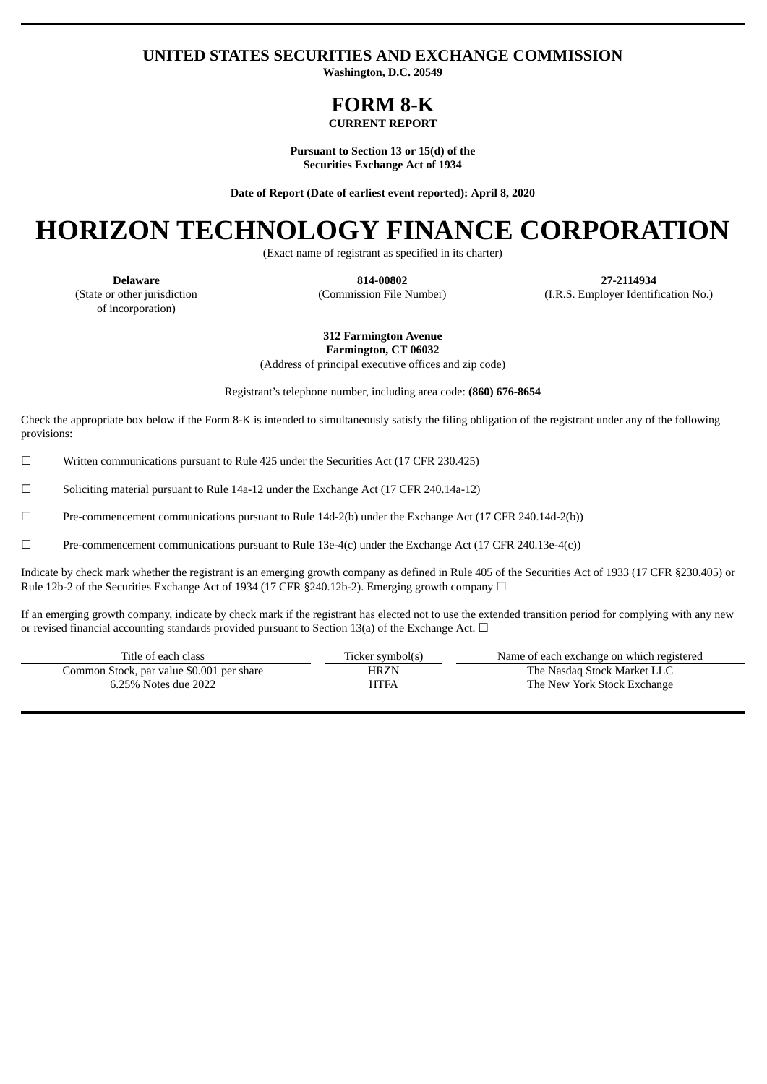**UNITED STATES SECURITIES AND EXCHANGE COMMISSION**

**Washington, D.C. 20549**

# **FORM 8-K**

**CURRENT REPORT**

**Pursuant to Section 13 or 15(d) of the Securities Exchange Act of 1934**

**Date of Report (Date of earliest event reported): April 8, 2020**

# **HORIZON TECHNOLOGY FINANCE CORPORATION**

(Exact name of registrant as specified in its charter)

(State or other jurisdiction

of incorporation)

**Delaware 814-00802 27-2114934** (Commission File Number) (I.R.S. Employer Identification No.)

**312 Farmington Avenue Farmington, CT 06032**

(Address of principal executive offices and zip code)

Registrant's telephone number, including area code: **(860) 676-8654**

Check the appropriate box below if the Form 8-K is intended to simultaneously satisfy the filing obligation of the registrant under any of the following provisions:

☐ Written communications pursuant to Rule 425 under the Securities Act (17 CFR 230.425)

☐ Soliciting material pursuant to Rule 14a-12 under the Exchange Act (17 CFR 240.14a-12)

 $\Box$  Pre-commencement communications pursuant to Rule 14d-2(b) under the Exchange Act (17 CFR 240.14d-2(b))

☐ Pre-commencement communications pursuant to Rule 13e-4(c) under the Exchange Act (17 CFR 240.13e-4(c))

Indicate by check mark whether the registrant is an emerging growth company as defined in Rule 405 of the Securities Act of 1933 (17 CFR §230.405) or Rule 12b-2 of the Securities Exchange Act of 1934 (17 CFR §240.12b-2). Emerging growth company  $\Box$ 

If an emerging growth company, indicate by check mark if the registrant has elected not to use the extended transition period for complying with any new or revised financial accounting standards provided pursuant to Section 13(a) of the Exchange Act.  $\Box$ 

| Title of each class                       | Ticker symbol(s) | Name of each exchange on which registered |
|-------------------------------------------|------------------|-------------------------------------------|
| Common Stock, par value \$0.001 per share | <b>HRZN</b>      | The Nasdaq Stock Market LLC               |
| 6.25% Notes due 2022                      | HTFA             | The New York Stock Exchange               |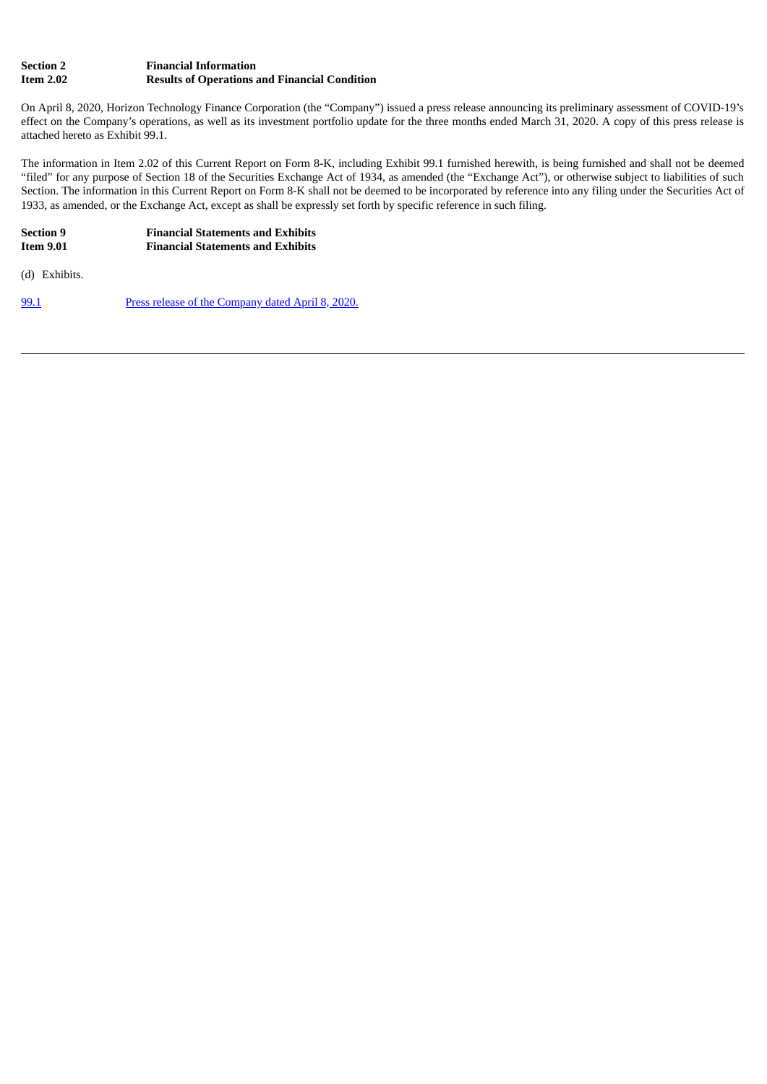# **Section 2 Financial Information Item 2.02 Results of Operations and Financial Condition**

On April 8, 2020, Horizon Technology Finance Corporation (the "Company") issued a press release announcing its preliminary assessment of COVID-19's effect on the Company's operations, as well as its investment portfolio update for the three months ended March 31, 2020. A copy of this press release is attached hereto as Exhibit 99.1.

The information in Item 2.02 of this Current Report on Form 8-K, including Exhibit 99.1 furnished herewith, is being furnished and shall not be deemed "filed" for any purpose of Section 18 of the Securities Exchange Act of 1934, as amended (the "Exchange Act"), or otherwise subject to liabilities of such Section. The information in this Current Report on Form 8-K shall not be deemed to be incorporated by reference into any filing under the Securities Act of 1933, as amended, or the Exchange Act, except as shall be expressly set forth by specific reference in such filing.

| <b>Section 9</b> | <b>Financial Statements and Exhibits</b> |
|------------------|------------------------------------------|
| <b>Item 9.01</b> | <b>Financial Statements and Exhibits</b> |

(d) Exhibits.

[99.1](#page-3-0) Press release of the [Company](#page-3-0) dated April 8, 2020.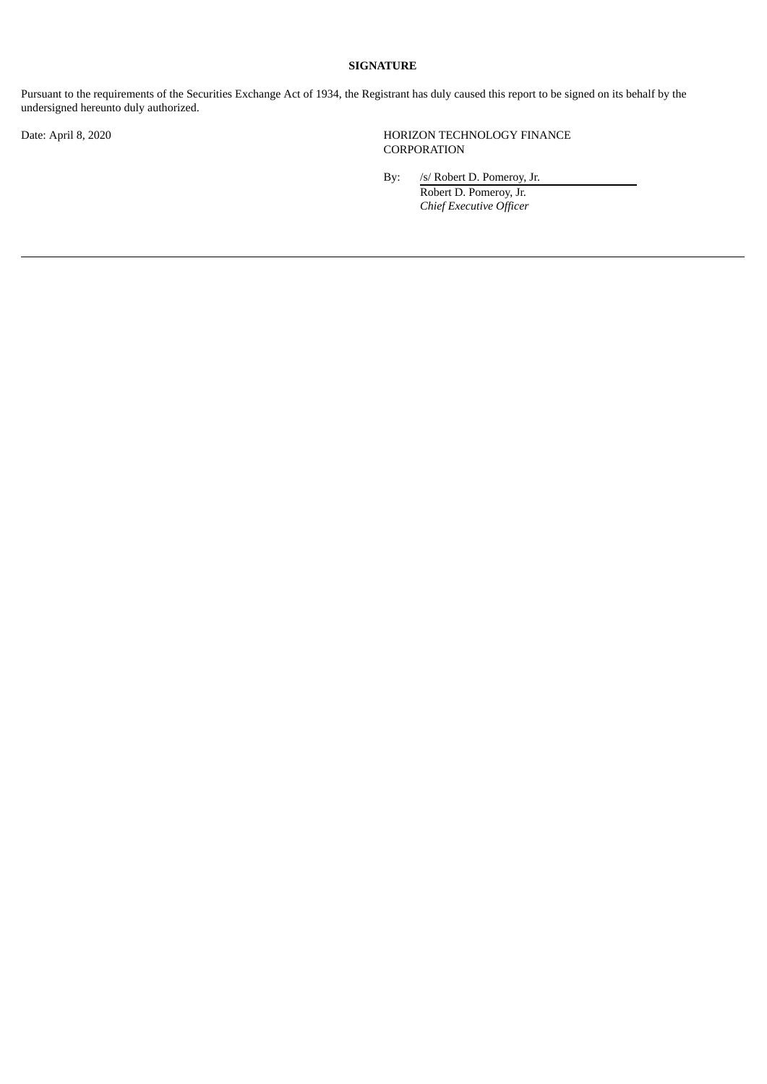# **SIGNATURE**

Pursuant to the requirements of the Securities Exchange Act of 1934, the Registrant has duly caused this report to be signed on its behalf by the undersigned hereunto duly authorized.

Date: April 8, 2020 HORIZON TECHNOLOGY FINANCE **CORPORATION** 

> By: /s/ Robert D. Pomeroy, Jr. Robert D. Pomeroy, Jr. *Chief Executive Officer*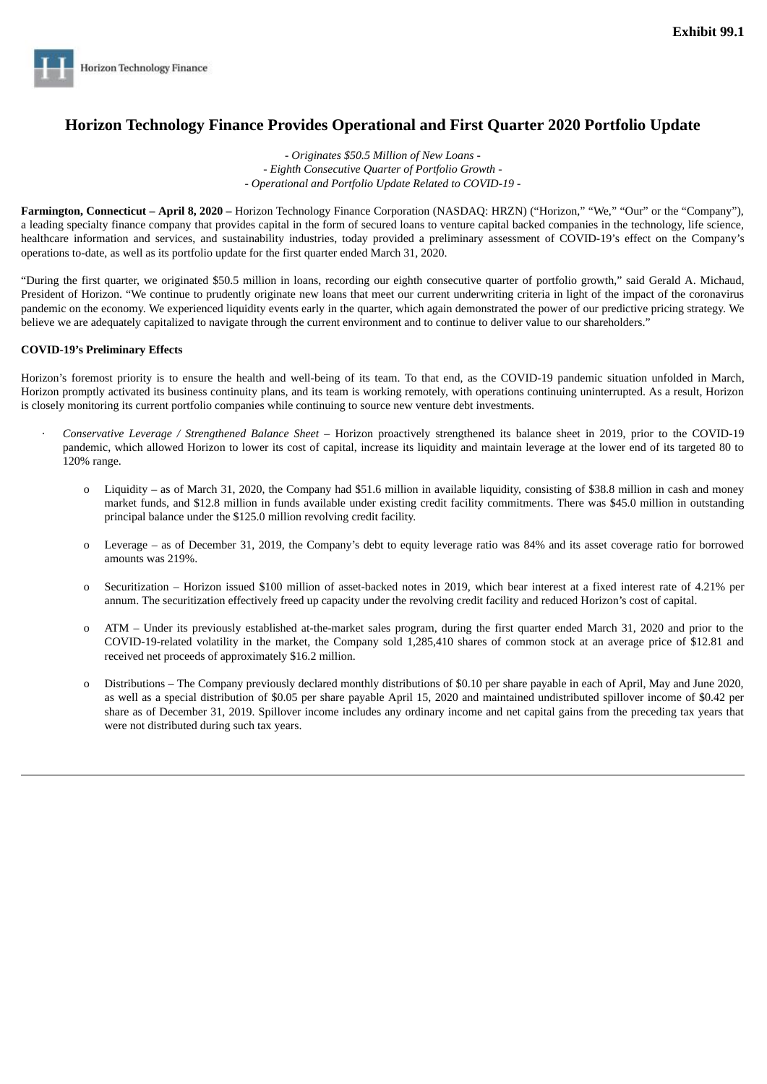<span id="page-3-0"></span>

# **Horizon Technology Finance Provides Operational and First Quarter 2020 Portfolio Update**

- *Originates \$50.5 Million of New Loans -* - *Eighth Consecutive Quarter of Portfolio Growth -* - *Operational and Portfolio Update Related to COVID-19 -*

**Farmington, Connecticut – April 8, 2020 –** Horizon Technology Finance Corporation (NASDAQ: HRZN) ("Horizon," "We," "Our" or the "Company"), a leading specialty finance company that provides capital in the form of secured loans to venture capital backed companies in the technology, life science, healthcare information and services, and sustainability industries, today provided a preliminary assessment of COVID-19's effect on the Company's operations to-date, as well as its portfolio update for the first quarter ended March 31, 2020.

"During the first quarter, we originated \$50.5 million in loans, recording our eighth consecutive quarter of portfolio growth," said Gerald A. Michaud, President of Horizon. "We continue to prudently originate new loans that meet our current underwriting criteria in light of the impact of the coronavirus pandemic on the economy. We experienced liquidity events early in the quarter, which again demonstrated the power of our predictive pricing strategy. We believe we are adequately capitalized to navigate through the current environment and to continue to deliver value to our shareholders."

# **COVID-19's Preliminary Effects**

Horizon's foremost priority is to ensure the health and well-being of its team. To that end, as the COVID-19 pandemic situation unfolded in March, Horizon promptly activated its business continuity plans, and its team is working remotely, with operations continuing uninterrupted. As a result, Horizon is closely monitoring its current portfolio companies while continuing to source new venture debt investments.

- · *Conservative Leverage / Strengthened Balance Sheet* Horizon proactively strengthened its balance sheet in 2019, prior to the COVID-19 pandemic, which allowed Horizon to lower its cost of capital, increase its liquidity and maintain leverage at the lower end of its targeted 80 to 120% range.
	- o Liquidity as of March 31, 2020, the Company had \$51.6 million in available liquidity, consisting of \$38.8 million in cash and money market funds, and \$12.8 million in funds available under existing credit facility commitments. There was \$45.0 million in outstanding principal balance under the \$125.0 million revolving credit facility.
	- o Leverage as of December 31, 2019, the Company's debt to equity leverage ratio was 84% and its asset coverage ratio for borrowed amounts was 219%.
	- o Securitization Horizon issued \$100 million of asset-backed notes in 2019, which bear interest at a fixed interest rate of 4.21% per annum. The securitization effectively freed up capacity under the revolving credit facility and reduced Horizon's cost of capital.
	- o ATM Under its previously established at-the-market sales program, during the first quarter ended March 31, 2020 and prior to the COVID-19-related volatility in the market, the Company sold 1,285,410 shares of common stock at an average price of \$12.81 and received net proceeds of approximately \$16.2 million.
	- o Distributions The Company previously declared monthly distributions of \$0.10 per share payable in each of April, May and June 2020, as well as a special distribution of \$0.05 per share payable April 15, 2020 and maintained undistributed spillover income of \$0.42 per share as of December 31, 2019. Spillover income includes any ordinary income and net capital gains from the preceding tax years that were not distributed during such tax years.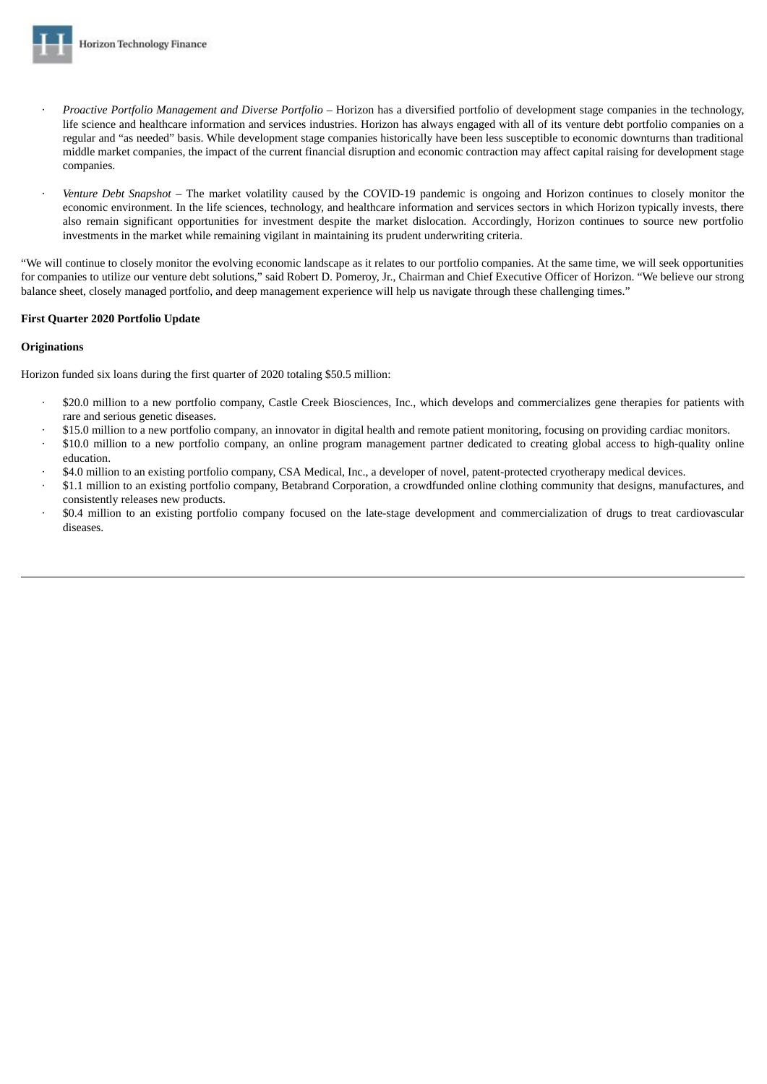

- · *Proactive Portfolio Management and Diverse Portfolio* Horizon has a diversified portfolio of development stage companies in the technology, life science and healthcare information and services industries. Horizon has always engaged with all of its venture debt portfolio companies on a regular and "as needed" basis. While development stage companies historically have been less susceptible to economic downturns than traditional middle market companies, the impact of the current financial disruption and economic contraction may affect capital raising for development stage companies.
- · *Venture Debt Snapshot* The market volatility caused by the COVID-19 pandemic is ongoing and Horizon continues to closely monitor the economic environment. In the life sciences, technology, and healthcare information and services sectors in which Horizon typically invests, there also remain significant opportunities for investment despite the market dislocation. Accordingly, Horizon continues to source new portfolio investments in the market while remaining vigilant in maintaining its prudent underwriting criteria.

"We will continue to closely monitor the evolving economic landscape as it relates to our portfolio companies. At the same time, we will seek opportunities for companies to utilize our venture debt solutions," said Robert D. Pomeroy, Jr., Chairman and Chief Executive Officer of Horizon. "We believe our strong balance sheet, closely managed portfolio, and deep management experience will help us navigate through these challenging times."

#### **First Quarter 2020 Portfolio Update**

#### **Originations**

Horizon funded six loans during the first quarter of 2020 totaling \$50.5 million:

- · \$20.0 million to a new portfolio company, Castle Creek Biosciences, Inc., which develops and commercializes gene therapies for patients with rare and serious genetic diseases.
- · \$15.0 million to a new portfolio company, an innovator in digital health and remote patient monitoring, focusing on providing cardiac monitors.
- · \$10.0 million to a new portfolio company, an online program management partner dedicated to creating global access to high-quality online education.
- · \$4.0 million to an existing portfolio company, CSA Medical, Inc., a developer of novel, patent-protected cryotherapy medical devices.
- · \$1.1 million to an existing portfolio company, Betabrand Corporation, a crowdfunded online clothing community that designs, manufactures, and consistently releases new products.
- · \$0.4 million to an existing portfolio company focused on the late-stage development and commercialization of drugs to treat cardiovascular diseases.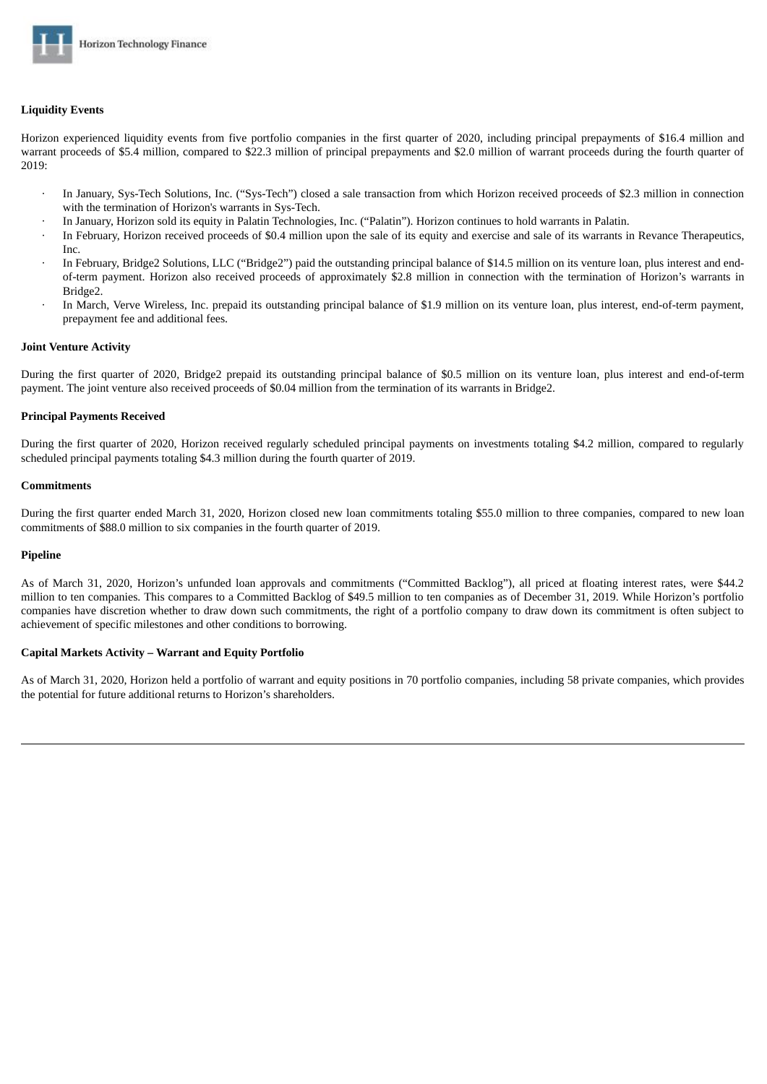

### **Liquidity Events**

Horizon experienced liquidity events from five portfolio companies in the first quarter of 2020, including principal prepayments of \$16.4 million and warrant proceeds of \$5.4 million, compared to \$22.3 million of principal prepayments and \$2.0 million of warrant proceeds during the fourth quarter of 2019:

- · In January, Sys-Tech Solutions, Inc. ("Sys-Tech") closed a sale transaction from which Horizon received proceeds of \$2.3 million in connection with the termination of Horizon's warrants in Sys-Tech.
- · In January, Horizon sold its equity in Palatin Technologies, Inc. ("Palatin"). Horizon continues to hold warrants in Palatin.
- In February, Horizon received proceeds of \$0.4 million upon the sale of its equity and exercise and sale of its warrants in Revance Therapeutics, Inc.
- · In February, Bridge2 Solutions, LLC ("Bridge2") paid the outstanding principal balance of \$14.5 million on its venture loan, plus interest and endof-term payment. Horizon also received proceeds of approximately \$2.8 million in connection with the termination of Horizon's warrants in Bridge2.
- In March, Verve Wireless, Inc. prepaid its outstanding principal balance of \$1.9 million on its venture loan, plus interest, end-of-term payment, prepayment fee and additional fees.

#### **Joint Venture Activity**

During the first quarter of 2020, Bridge2 prepaid its outstanding principal balance of \$0.5 million on its venture loan, plus interest and end-of-term payment. The joint venture also received proceeds of \$0.04 million from the termination of its warrants in Bridge2.

#### **Principal Payments Received**

During the first quarter of 2020, Horizon received regularly scheduled principal payments on investments totaling \$4.2 million, compared to regularly scheduled principal payments totaling \$4.3 million during the fourth quarter of 2019.

#### **Commitments**

During the first quarter ended March 31, 2020, Horizon closed new loan commitments totaling \$55.0 million to three companies, compared to new loan commitments of \$88.0 million to six companies in the fourth quarter of 2019.

#### **Pipeline**

As of March 31, 2020, Horizon's unfunded loan approvals and commitments ("Committed Backlog"), all priced at floating interest rates, were \$44.2 million to ten companies. This compares to a Committed Backlog of \$49.5 million to ten companies as of December 31, 2019. While Horizon's portfolio companies have discretion whether to draw down such commitments, the right of a portfolio company to draw down its commitment is often subject to achievement of specific milestones and other conditions to borrowing.

#### **Capital Markets Activity – Warrant and Equity Portfolio**

As of March 31, 2020, Horizon held a portfolio of warrant and equity positions in 70 portfolio companies, including 58 private companies, which provides the potential for future additional returns to Horizon's shareholders.